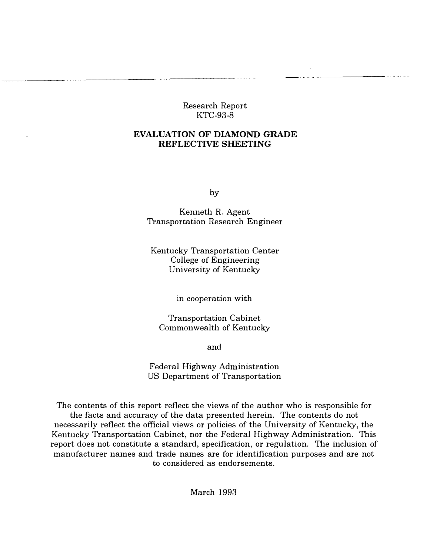Research Report KTC-93-8

## EVALUATION OF DIAMOND GRADE REFLECTIVE SHEETING

by

Kenneth R. Agent Transportation Research Engineer

Kentucky Transportation Center College of Engineering University of Kentucky

in cooperation with

Transportation Cabinet Commonwealth of Kentucky

and

Federal Highway Administration US Department of Transportation

The contents of this report reflect the views of the author who is responsible for the facts and accuracy of the data presented herein. The contents do not necessarily reflect the official views or policies of the University of Kentucky, the Kentucky Transportation Cabinet, nor the Federal Highway Administration. This report does not constitute a standard, specification, or regulation. The inclusion of manufacturer names and trade names are for identification purposes and are not to considered as endorsements.

March 1993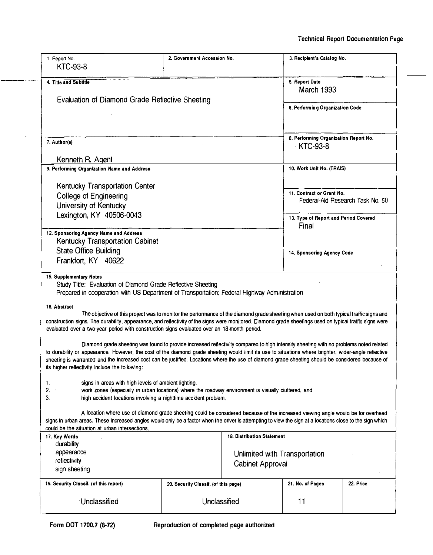| 1. Report No.                                                                                                                                                                                                                                                                                                                                                                                                                                                                                                                                                                                                                                       | 2. Government Accession No.          |                                   | 3. Recipient's Catalog No.            |           |
|-----------------------------------------------------------------------------------------------------------------------------------------------------------------------------------------------------------------------------------------------------------------------------------------------------------------------------------------------------------------------------------------------------------------------------------------------------------------------------------------------------------------------------------------------------------------------------------------------------------------------------------------------------|--------------------------------------|-----------------------------------|---------------------------------------|-----------|
| <b>KTC-93-8</b>                                                                                                                                                                                                                                                                                                                                                                                                                                                                                                                                                                                                                                     |                                      |                                   |                                       |           |
| 4. Title and Subtitle                                                                                                                                                                                                                                                                                                                                                                                                                                                                                                                                                                                                                               |                                      |                                   | 5. Report Date                        |           |
|                                                                                                                                                                                                                                                                                                                                                                                                                                                                                                                                                                                                                                                     |                                      |                                   | March 1993                            |           |
| Evaluation of Diamond Grade Reflective Sheeting                                                                                                                                                                                                                                                                                                                                                                                                                                                                                                                                                                                                     |                                      |                                   |                                       |           |
|                                                                                                                                                                                                                                                                                                                                                                                                                                                                                                                                                                                                                                                     |                                      |                                   | 6. Performing Organization Code       |           |
|                                                                                                                                                                                                                                                                                                                                                                                                                                                                                                                                                                                                                                                     |                                      |                                   |                                       |           |
|                                                                                                                                                                                                                                                                                                                                                                                                                                                                                                                                                                                                                                                     |                                      |                                   |                                       |           |
|                                                                                                                                                                                                                                                                                                                                                                                                                                                                                                                                                                                                                                                     |                                      |                                   | 8. Performing Organization Report No. |           |
| 7. Author(s)                                                                                                                                                                                                                                                                                                                                                                                                                                                                                                                                                                                                                                        |                                      |                                   | <b>KTC-93-8</b>                       |           |
|                                                                                                                                                                                                                                                                                                                                                                                                                                                                                                                                                                                                                                                     |                                      |                                   |                                       |           |
| Kenneth R. Agent                                                                                                                                                                                                                                                                                                                                                                                                                                                                                                                                                                                                                                    |                                      |                                   |                                       |           |
| 9. Performing Organization Name and Address                                                                                                                                                                                                                                                                                                                                                                                                                                                                                                                                                                                                         |                                      |                                   | 10. Work Unit No. (TRAIS)             |           |
|                                                                                                                                                                                                                                                                                                                                                                                                                                                                                                                                                                                                                                                     |                                      |                                   |                                       |           |
| <b>Kentucky Transportation Center</b>                                                                                                                                                                                                                                                                                                                                                                                                                                                                                                                                                                                                               |                                      |                                   | 11. Contract or Grant No.             |           |
| <b>College of Engineering</b>                                                                                                                                                                                                                                                                                                                                                                                                                                                                                                                                                                                                                       |                                      |                                   | Federal-Aid Research Task No. 50      |           |
| University of Kentucky                                                                                                                                                                                                                                                                                                                                                                                                                                                                                                                                                                                                                              |                                      |                                   |                                       |           |
| Lexington, KY 40506-0043                                                                                                                                                                                                                                                                                                                                                                                                                                                                                                                                                                                                                            |                                      |                                   | 13. Type of Report and Period Covered |           |
|                                                                                                                                                                                                                                                                                                                                                                                                                                                                                                                                                                                                                                                     |                                      |                                   | Final                                 |           |
| 12. Sponsoring Agency Name and Address                                                                                                                                                                                                                                                                                                                                                                                                                                                                                                                                                                                                              |                                      |                                   |                                       |           |
| <b>Kentucky Transportation Cabinet</b>                                                                                                                                                                                                                                                                                                                                                                                                                                                                                                                                                                                                              |                                      |                                   |                                       |           |
| <b>State Office Building</b>                                                                                                                                                                                                                                                                                                                                                                                                                                                                                                                                                                                                                        |                                      |                                   | 14. Sponsoring Agency Code            |           |
| Frankfort, KY 40622                                                                                                                                                                                                                                                                                                                                                                                                                                                                                                                                                                                                                                 |                                      |                                   |                                       |           |
|                                                                                                                                                                                                                                                                                                                                                                                                                                                                                                                                                                                                                                                     |                                      |                                   |                                       |           |
|                                                                                                                                                                                                                                                                                                                                                                                                                                                                                                                                                                                                                                                     |                                      |                                   |                                       |           |
| Study Title: Evaluation of Diamond Grade Reflective Sheeting                                                                                                                                                                                                                                                                                                                                                                                                                                                                                                                                                                                        |                                      |                                   |                                       |           |
| Prepared in cooperation with US Department of Transportation; Federal Highway Administration                                                                                                                                                                                                                                                                                                                                                                                                                                                                                                                                                        |                                      |                                   |                                       |           |
|                                                                                                                                                                                                                                                                                                                                                                                                                                                                                                                                                                                                                                                     |                                      |                                   |                                       |           |
| The objective of this project was to monitor the performance of the diamond grade sheeting when used on both typical traffic signs and                                                                                                                                                                                                                                                                                                                                                                                                                                                                                                              |                                      |                                   |                                       |           |
|                                                                                                                                                                                                                                                                                                                                                                                                                                                                                                                                                                                                                                                     |                                      |                                   |                                       |           |
| 16. Abstract<br>evaluated over a two-year period with construction signs evaluated over an 18-month period.                                                                                                                                                                                                                                                                                                                                                                                                                                                                                                                                         |                                      |                                   |                                       |           |
|                                                                                                                                                                                                                                                                                                                                                                                                                                                                                                                                                                                                                                                     |                                      |                                   |                                       |           |
| Diamond grade sheeting was found to provide increased reflectivity compared to high intensity sheeting with no problems noted related                                                                                                                                                                                                                                                                                                                                                                                                                                                                                                               |                                      |                                   |                                       |           |
|                                                                                                                                                                                                                                                                                                                                                                                                                                                                                                                                                                                                                                                     |                                      |                                   |                                       |           |
|                                                                                                                                                                                                                                                                                                                                                                                                                                                                                                                                                                                                                                                     |                                      |                                   |                                       |           |
|                                                                                                                                                                                                                                                                                                                                                                                                                                                                                                                                                                                                                                                     |                                      |                                   |                                       |           |
| signs in areas with high levels of ambient lighting,                                                                                                                                                                                                                                                                                                                                                                                                                                                                                                                                                                                                |                                      |                                   |                                       |           |
| to durability or appearance. However, the cost of the diamond grade sheeting would limit its use to situations where brighter, wider-angle reflective<br>its higher reflectivity include the following:<br>work zones (especially in urban locations) where the roadway environment is visually cluttered, and                                                                                                                                                                                                                                                                                                                                      |                                      |                                   |                                       |           |
| high accident locations involving a nighttime accident problem.                                                                                                                                                                                                                                                                                                                                                                                                                                                                                                                                                                                     |                                      |                                   |                                       |           |
| A location where use of diamond grade sheeting could be considered because of the increased viewing angle would be for overhead                                                                                                                                                                                                                                                                                                                                                                                                                                                                                                                     |                                      |                                   |                                       |           |
|                                                                                                                                                                                                                                                                                                                                                                                                                                                                                                                                                                                                                                                     |                                      |                                   |                                       |           |
|                                                                                                                                                                                                                                                                                                                                                                                                                                                                                                                                                                                                                                                     |                                      |                                   |                                       |           |
|                                                                                                                                                                                                                                                                                                                                                                                                                                                                                                                                                                                                                                                     |                                      | <b>18. Distribution Statement</b> |                                       |           |
| durability<br>appearance                                                                                                                                                                                                                                                                                                                                                                                                                                                                                                                                                                                                                            |                                      |                                   |                                       |           |
| reflectivity                                                                                                                                                                                                                                                                                                                                                                                                                                                                                                                                                                                                                                        |                                      | Unlimited with Transportation     |                                       |           |
| sign sheeting                                                                                                                                                                                                                                                                                                                                                                                                                                                                                                                                                                                                                                       |                                      | Cabinet Approval                  |                                       |           |
|                                                                                                                                                                                                                                                                                                                                                                                                                                                                                                                                                                                                                                                     |                                      |                                   |                                       |           |
|                                                                                                                                                                                                                                                                                                                                                                                                                                                                                                                                                                                                                                                     | 20. Security Classif. (of this page) |                                   | 21. No. of Pages                      | 22. Price |
| 15. Supplementary Notes<br>construction signs. The durability, appearance, and reflectivity of the signs were monitored. Diamond grade sheetings used on typical traffic signs were<br>sheeting is warranted and the increased cost can be justified. Locations where the use of diamond grade sheeting should be considered because of<br>1.<br>2.<br>3.<br>signs in urban areas. These increased angles would only be a factor when the driver is attempting to view the sign at a locations close to the sign which<br>could be the situation at urban intersections.<br>17. Key Words<br>19. Security Classif. (of this report)<br>Unclassified | Unclassified                         |                                   | 11                                    |           |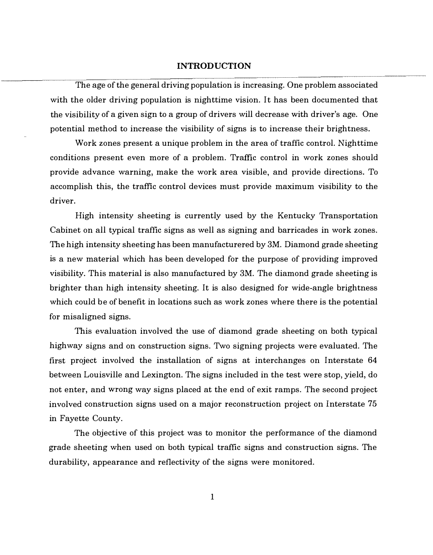### INTRODUCTION

The age of the general driving population is increasing. One problem associated with the older driving population is nighttime vision. It has been documented that the visibility of a given sign to a group of drivers will decrease with driver's age. One potential method to increase the visibility of signs is to increase their brightness.

Work zones present a unique problem in the area of traffic control. Nighttime conditions present even more of a problem. Traffic control in work zones should provide advance warning, make the work area visible, and provide directions. To accomplish this, the traffic control devices must provide maximum visibility to the driver.

High intensity sheeting is currently used by the Kentucky Transportation Cabinet on all typical traffic signs as well as signing and barricades in work zones. The high intensity sheeting has been manufacturered by 3M. Diamond grade sheeting is a new material which has been developed for the purpose of providing improved visibility. This material is also manufactured by 3M. The diamond grade sheeting is brighter than high intensity sheeting. It is also designed for wide-angle brightness which could be of benefit in locations such as work zones where there is the potential for misaligned signs.

This evaluation involved the use of diamond grade sheeting on both typical highway signs and on construction signs. Two signing projects were evaluated. The first project involved the installation of signs at interchanges on Interstate 64 between Louisville and Lexington. The signs included in the test were stop, yield, do not enter, and wrong way signs placed at the end of exit ramps. The second project involved construction signs used on a major reconstruction project on Interstate 75 in Fayette County.

The objective of this project was to monitor the performance of the diamond grade sheeting when used on both typical traffic signs and construction signs. The durability, appearance and reflectivity of the signs were monitored.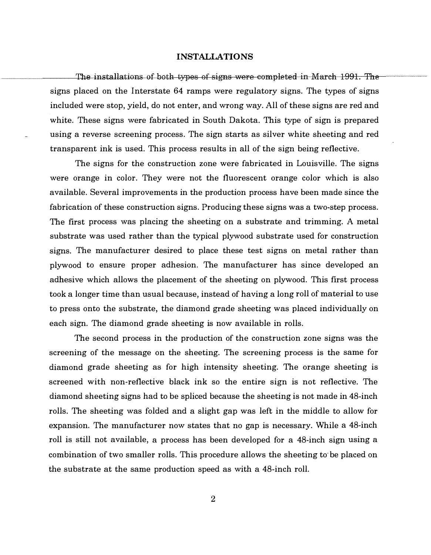#### INSTALLATIONS

The installations of both types of signs were completed in March 1991. The signs placed on the Interstate 64 ramps were regulatory signs. The types of signs included were stop, yield, do not enter, and wrong way. All of these signs are red and white. These signs were fabricated in South Dakota. This type of sign is prepared using a reverse screening process. The sign starts as silver white sheeting and red transparent ink is used. This process results in all of the sign being reflective.

The signs for the construction zone were fabricated in Louisville. The signs were orange in color. They were not the fluorescent orange color which is also available. Several improvements in the production process have been made since the fabrication of these construction signs. Producing these signs was a two-step process. The first process was placing the sheeting on a substrate and trimming. A metal substrate was used rather than the typical plywood substrate used for construction signs. The manufacturer desired to place these test signs on metal rather than plywood to ensure proper adhesion. The manufacturer has since developed an adhesive which allows the placement of the sheeting on plywood. This first process took a longer time than usual because, instead of having a long roll of material to use to press onto the substrate, the diamond grade sheeting was placed individually on each sign. The diamond grade sheeting is now available in rolls.

The second process in the production of the construction zone signs was the screening of the message on the sheeting. The screening process is the same for diamond grade sheeting as for high intensity sheeting. The orange sheeting is screened with non-reflective black ink so the entire sign is not reflective. The diamond sheeting signs had to be spliced because the sheeting is not made in 48-inch rolls. The sheeting was folded and a slight gap was left in the middle to allow for expansion. The manufacturer now states that no gap is necessary. While a 48-inch roll is still not available, a process has been developed for a 48-inch sign using a combination of two smaller rolls. This procedure allows the sheeting to· be placed on the substrate at the same production speed as with a 48-inch roll.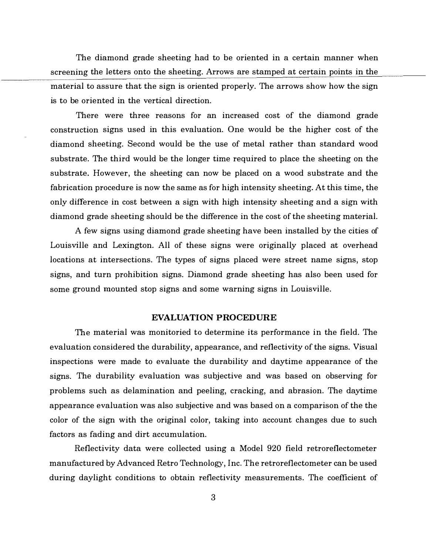The diamond grade sheeting had to be oriented in a certain manner when screening the letters onto the sheeting. Arrows are stamped at certain points in the material to assure that the sign is oriented properly. The arrows show how the sign is to be oriented in the vertical direction.

There were three reasons for an increased cost of the diamond grade construction signs used in this evaluation. One would be the higher cost of the diamond sheeting. Second would be the use of metal rather than standard wood substrate. The third would be the longer time required to place the sheeting on the substrate. However, the sheeting can now be placed on a wood substrate and the fabrication procedure is now the same as for high intensity sheeting. At this time, the only difference in cost between a sign with high intensity sheeting and a sign with diamond grade sheeting should be the difference in the cost of the sheeting material.

A few signs using diamond grade sheeting have been installed by the cities of Louisville and Lexington. All of these signs were originally placed at overhead locations at intersections. The types of signs placed were street name signs, stop signs, and turn prohibition signs. Diamond grade sheeting has also been used for some ground mounted stop signs and some warning signs in Louisville.

#### EVALUATION PROCEDURE

The material was monitoried to determine its performance in the field. The evaluation considered the durability, appearance, and reflectivity of the signs. Visual inspections were made to evaluate the durability and daytime appearance of the signs. The durability evaluation was subjective and was based on observing for problems such as delamination and peeling, cracking, and abrasion. The daytime appearance evaluation was also subjective and was based on a comparison of the the color of the sign with the original color, taking into account changes due to such factors as fading and dirt accumulation.

Reflectivity data were collected using a Model 920 field retroreflectometer manufactured by Advanced Retro Technology, Inc. The retroreflectometer can be used during daylight conditions to obtain reflectivity measurements. The coefficient of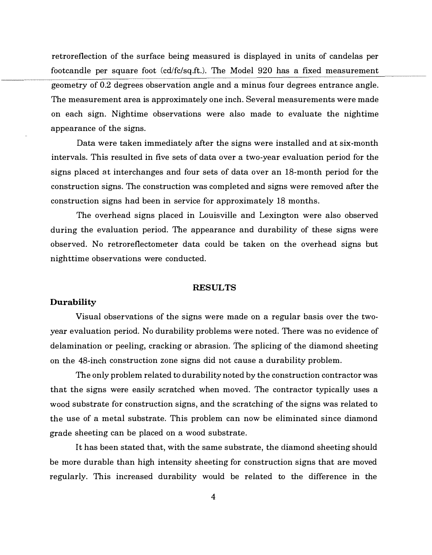retroreflection of the surface being measured is displayed in units of candelas per footcandle per square foot (cd/fc/sq.ft.). The Model 920 has a fixed measurement geometry of 0.2 degrees observation angle and a minus four degrees entrance angle. The measurement area is approximately one inch. Several measurements were made on each sign. Nightime observations were also made to evaluate the nightime appearance of the signs.

Data were taken immediately after the signs were installed and at six-month intervals. This resulted in five sets of data over a two-year evaluation period for the signs placed at interchanges and four sets of data over an 18-month period for the construction signs. The construction was completed and signs were removed after the construction signs had been in service for approximately 18 months.

The overhead signs placed in Louisville and Lexington were also observed during the evaluation period. The appearance and durability of these signs were observed. No retroreflectometer data could be taken on the overhead signs but nighttime observations were conducted.

#### RESULTS

## Durability

Visual observations of the signs were made on a regular basis over the twoyear evaluation period. No durability problems were noted. There was no evidence of delamination or peeling, cracking or abrasion. The splicing of the diamond sheeting on the 48-inch construction zone signs did not cause a durability problem.

The only problem related to durability noted by the construction contractor was that the signs were easily scratched when moved. The contractor typically uses a wood substrate for construction signs, and the scratching of the signs was related to the use of a metal substrate. This problem can now be eliminated since diamond grade sheeting can be placed on a wood substrate.

It has been stated that, with the same substrate, the diamond sheeting should be more durable than high intensity sheeting for construction signs that are moved regularly. This increased durability would be related to the difference in the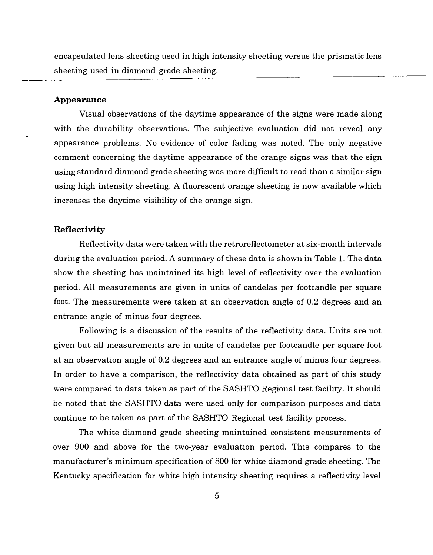encapsulated lens sheeting used in high intensity sheeting versus the prismatic lens sheeting used in diamond grade sheeting.

### Appearance

Visual observations of the daytime appearance of the signs were made along with the durability observations. The subjective evaluation did not reveal any appearance problems. No evidence of color fading was noted. The only negative comment concerning the daytime appearance of the orange signs was that the sign using standard diamond grade sheeting was more difficult to read than a similar sign using high intensity sheeting. A fluorescent orange sheeting is now available which increases the daytime visibility of the orange sign.

#### Reflectivity

Reflectivity data were taken with the retroreflectometer at six-month intervals during the evaluation period. A summary of these data is shown in Table 1. The data show the sheeting has maintained its high level of reflectivity over the evaluation period. All measurements are given in units of candelas per footcandle per square foot. The measurements were taken at an observation angle of 0.2 degrees and an entrance angle of minus four degrees.

Following is a discussion of the results of the reflectivity data. Units are not given but all measurements are in units of candelas per footcandle per square foot at an observation angle of 0.2 degrees and an entrance angle of minus four degrees. In order to have a comparison, the reflectivity data obtained as part of this study were compared to data taken as part of the SASHTO Regional test facility. It should be noted that the SASHTO data were used only for comparison purposes and data continue to be taken as part of the SASHTO Regional test facility process.

The white diamond grade sheeting maintained consistent measurements of over 900 and above for the two-year evaluation period. This compares to the manufacturer's minimum specification of 800 for white diamond grade sheeting. The Kentucky specification for white high intensity sheeting requires a reflectivity level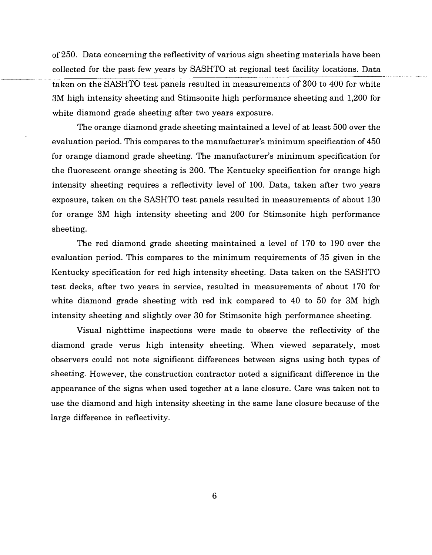of 250. Data concerning the reflectivity of various sign sheeting materials have been collected for the past few years by SASHTO at regional test facility locations. Data taken on the SASHTO test panels resulted in measurements of 300 to 400 for white 3M high intensity sheeting and Stimsonite high performance sheeting and 1,200 for white diamond grade sheeting after two years exposure.

> The orange diamond grade sheeting maintained a level of at least 500 over the evaluation period. This compares to the manufacturer's minimum specification of 450 for orange diamond grade sheeting. The manufacturer's minimum specification for the fluorescent orange sheeting is 200. The Kentucky specification for orange high intensity sheeting requires a reflectivity level of 100. Data, taken after two years exposure, taken on the SASHTO test panels resulted in measurements of about 130 for orange 3M high intensity sheeting and 200 for Stimsonite high performance sheeting.

> The red diamond grade sheeting maintained a level of 170 to 190 over the evaluation period. This compares to the minimum requirements of 35 given in the Kentucky specification for red high intensity sheeting. Data taken on the SASHTO test decks, after two years in service, resulted in measurements of about 170 for white diamond grade sheeting with red ink compared to 40 to 50 for 3M high intensity sheeting and slightly over 30 for Stimsonite high performance sheeting.

> Visual nighttime inspections were made to observe the reflectivity of the diamond grade verus high intensity sheeting. When viewed separately, most observers could not note significant differences between signs using both types of sheeting. However, the construction contractor noted a significant difference in the appearance of the signs when used together at a lane closure. Care was taken not to use the diamond and high intensity sheeting in the same lane closure because of the large difference in reflectivity.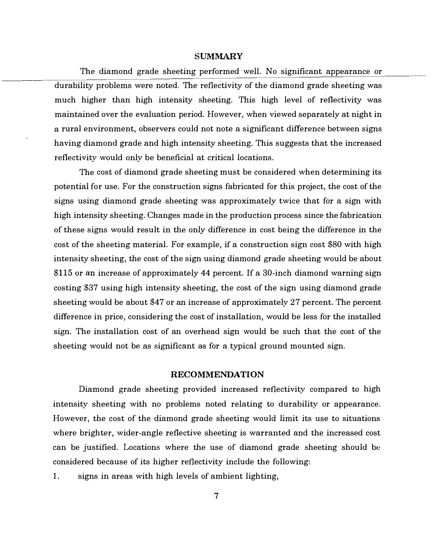#### SUMMARY

The diamond grade sheeting performed well. No significant appearance or durability problems were noted. The reflectivity of the diamond grade sheeting was much higher than high intensity sheeting. This high level of reflectivity was maintained over the evaluation period. However, when viewed separately at night in a rural environment, observers could not note a significant difference between signs having diamond grade and high intensity sheeting. This suggests that the increased reflectivity would only be beneficial at critical locations.

The cost of diamond grade sheeting must be considered when determining its potential for use. For the construction signs fabricated for this project, the cost of the signs using diamond grade sheeting was approximately twice that for a sign with high intensity sheeting. Changes made in the production process since the fabrication of these signs would result in the only difference in cost being the difference in the cost of the sheeting material. For example, if a construction sign cost \$80 with high intensity sheeting, the cost of the sign using diamond grade sheeting would be about \$115 or an increase of approximately 44 percent. If a 30-inch diamond warning sign costing \$37 using high intensity sheeting, the cost of the sign using diamond grade sheeting would be about \$47 or an increase of approximately 27 percent. The percent difference in price, considering the cost of installation, would be less for the installed sign. The installation cost of an overhead sign would be such that the cost of the sheeting would not be as significant as for a typical ground mounted sign.

### RECOMMENDATION

Diamond grade sheeting provided increased reflectivity compared to high intensity sheeting with no problems noted relating to durability or appearance. However, the cost of the diamond grade sheeting would limit its use to situations where brighter, wider-angle reflective sheeting is warranted and the increased cost can be justified. Locations where the use of diamond grade sheeting should be considered because of its higher reflectivity include the following:

1. signs in areas with high levels of ambient lighting,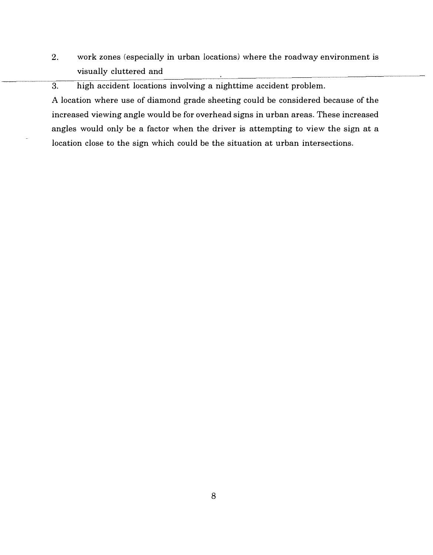2. work zones (especially in urban locations) where the roadway environment is visually cluttered and

3. high accident locations involving a nighttime accident problem.

A location where use of diamond grade sheeting could be considered because of the increased viewing angle would be for overhead signs in urban areas. These increased angles would only be a factor when the driver is attempting to view the sign at a location close to the sign which could be the situation at urban intersections.